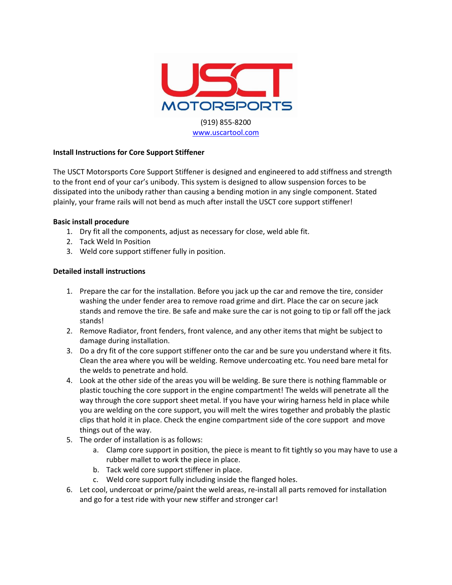

# **Install Instructions for Core Support Stiffener**

The USCT Motorsports Core Support Stiffener is designed and engineered to add stiffness and strength to the front end of your car's unibody. This system is designed to allow suspension forces to be dissipated into the unibody rather than causing a bending motion in any single component. Stated plainly, your frame rails will not bend as much after install the USCT core support stiffener!

# **Basic install procedure**

- 1. Dry fit all the components, adjust as necessary for close, weld able fit.
- 2. Tack Weld In Position
- 3. Weld core support stiffener fully in position.

## **Detailed install instructions**

- 1. Prepare the car for the installation. Before you jack up the car and remove the tire, consider washing the under fender area to remove road grime and dirt. Place the car on secure jack stands and remove the tire. Be safe and make sure the car is not going to tip or fall off the jack stands!
- 2. Remove Radiator, front fenders, front valence, and any other items that might be subject to damage during installation.
- 3. Do a dry fit of the core support stiffener onto the car and be sure you understand where it fits. Clean the area where you will be welding. Remove undercoating etc. You need bare metal for the welds to penetrate and hold.
- 4. Look at the other side of the areas you will be welding. Be sure there is nothing flammable or plastic touching the core support in the engine compartment! The welds will penetrate all the way through the core support sheet metal. If you have your wiring harness held in place while you are welding on the core support, you will melt the wires together and probably the plastic clips that hold it in place. Check the engine compartment side of the core support and move things out of the way.
- 5. The order of installation is as follows:
	- a. Clamp core support in position, the piece is meant to fit tightly so you may have to use a rubber mallet to work the piece in place.
	- b. Tack weld core support stiffener in place.
	- c. Weld core support fully including inside the flanged holes.
- 6. Let cool, undercoat or prime/paint the weld areas, re-install all parts removed for installation and go for a test ride with your new stiffer and stronger car!